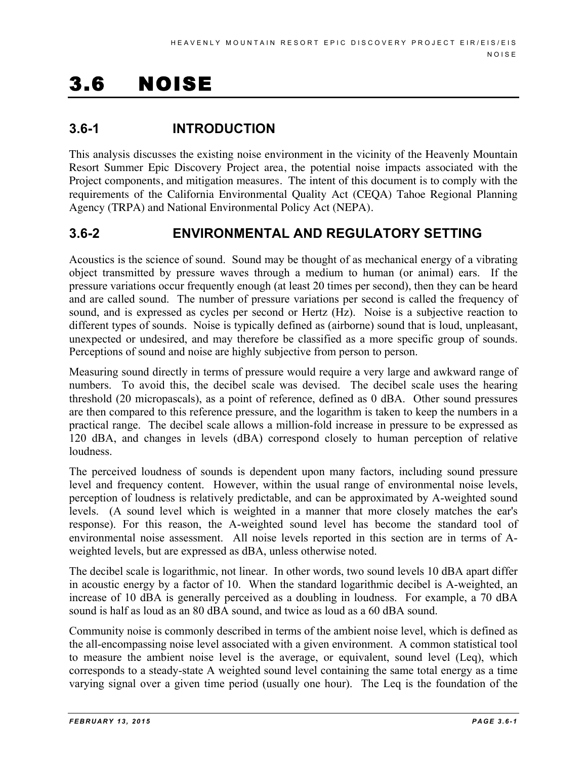# 3.6 NOISE

# **3.6-1 INTRODUCTION**

This analysis discusses the existing noise environment in the vicinity of the Heavenly Mountain Resort Summer Epic Discovery Project area, the potential noise impacts associated with the Project components, and mitigation measures. The intent of this document is to comply with the requirements of the California Environmental Quality Act (CEQA) Tahoe Regional Planning Agency (TRPA) and National Environmental Policy Act (NEPA).

# **3.6-2 ENVIRONMENTAL AND REGULATORY SETTING**

Acoustics is the science of sound. Sound may be thought of as mechanical energy of a vibrating object transmitted by pressure waves through a medium to human (or animal) ears. If the pressure variations occur frequently enough (at least 20 times per second), then they can be heard and are called sound. The number of pressure variations per second is called the frequency of sound, and is expressed as cycles per second or Hertz (Hz). Noise is a subjective reaction to different types of sounds. Noise is typically defined as (airborne) sound that is loud, unpleasant, unexpected or undesired, and may therefore be classified as a more specific group of sounds. Perceptions of sound and noise are highly subjective from person to person.

Measuring sound directly in terms of pressure would require a very large and awkward range of numbers. To avoid this, the decibel scale was devised. The decibel scale uses the hearing threshold (20 micropascals), as a point of reference, defined as 0 dBA. Other sound pressures are then compared to this reference pressure, and the logarithm is taken to keep the numbers in a practical range. The decibel scale allows a million-fold increase in pressure to be expressed as 120 dBA, and changes in levels (dBA) correspond closely to human perception of relative loudness.

The perceived loudness of sounds is dependent upon many factors, including sound pressure level and frequency content. However, within the usual range of environmental noise levels, perception of loudness is relatively predictable, and can be approximated by A-weighted sound levels. (A sound level which is weighted in a manner that more closely matches the ear's response). For this reason, the A-weighted sound level has become the standard tool of environmental noise assessment. All noise levels reported in this section are in terms of Aweighted levels, but are expressed as dBA, unless otherwise noted.

The decibel scale is logarithmic, not linear. In other words, two sound levels 10 dBA apart differ in acoustic energy by a factor of 10. When the standard logarithmic decibel is A-weighted, an increase of 10 dBA is generally perceived as a doubling in loudness. For example, a 70 dBA sound is half as loud as an 80 dBA sound, and twice as loud as a 60 dBA sound.

Community noise is commonly described in terms of the ambient noise level, which is defined as the all-encompassing noise level associated with a given environment. A common statistical tool to measure the ambient noise level is the average, or equivalent, sound level (Leq), which corresponds to a steady-state A weighted sound level containing the same total energy as a time varying signal over a given time period (usually one hour). The Leq is the foundation of the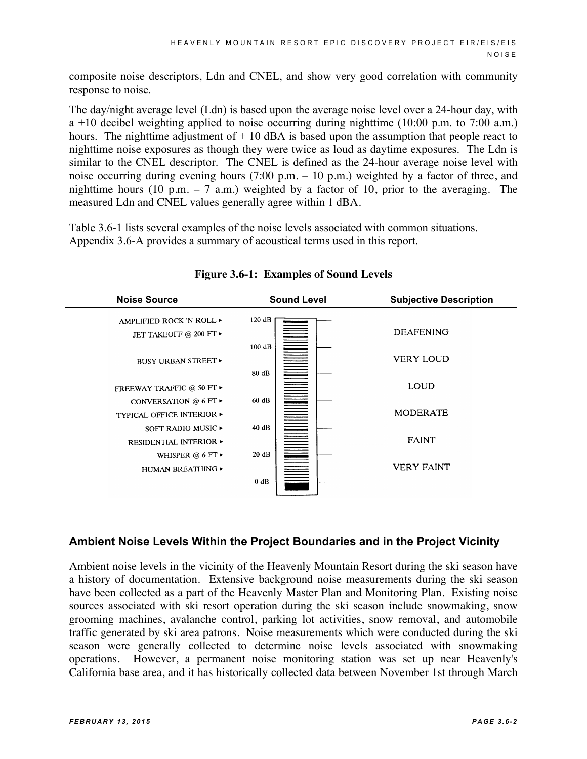composite noise descriptors, Ldn and CNEL, and show very good correlation with community response to noise.

The day/night average level (Ldn) is based upon the average noise level over a 24-hour day, with  $a +10$  decibel weighting applied to noise occurring during nighttime (10:00 p.m. to 7:00 a.m.) hours. The nighttime adjustment of  $+10$  dBA is based upon the assumption that people react to nighttime noise exposures as though they were twice as loud as daytime exposures. The Ldn is similar to the CNEL descriptor. The CNEL is defined as the 24-hour average noise level with noise occurring during evening hours (7:00 p.m. – 10 p.m.) weighted by a factor of three, and nighttime hours (10 p.m.  $-7$  a.m.) weighted by a factor of 10, prior to the averaging. The measured Ldn and CNEL values generally agree within 1 dBA.

Table 3.6-1 lists several examples of the noise levels associated with common situations. Appendix 3.6-A provides a summary of acoustical terms used in this report.



# **Figure 3.6-1: Examples of Sound Levels**

# **Ambient Noise Levels Within the Project Boundaries and in the Project Vicinity**

Ambient noise levels in the vicinity of the Heavenly Mountain Resort during the ski season have a history of documentation. Extensive background noise measurements during the ski season have been collected as a part of the Heavenly Master Plan and Monitoring Plan. Existing noise sources associated with ski resort operation during the ski season include snowmaking, snow grooming machines, avalanche control, parking lot activities, snow removal, and automobile traffic generated by ski area patrons. Noise measurements which were conducted during the ski season were generally collected to determine noise levels associated with snowmaking operations. However, a permanent noise monitoring station was set up near Heavenly's California base area, and it has historically collected data between November 1st through March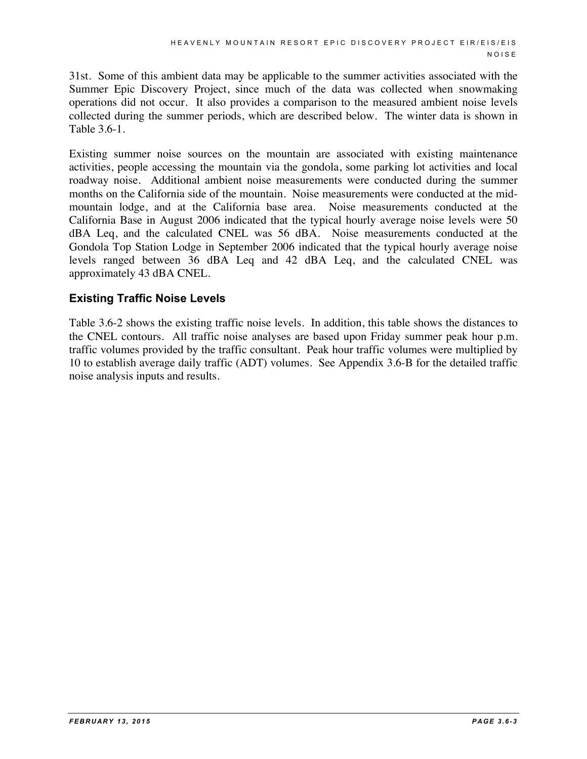31st. Some of this ambient data may be applicable to the summer activities associated with the Summer Epic Discovery Project, since much of the data was collected when snowmaking operations did not occur. It also provides a comparison to the measured ambient noise levels collected during the summer periods, which are described below. The winter data is shown in Table 3.6-1.

Existing summer noise sources on the mountain are associated with existing maintenance activities, people accessing the mountain via the gondola, some parking lot activities and local roadway noise. Additional ambient noise measurements were conducted during the summer months on the California side of the mountain. Noise measurements were conducted at the midmountain lodge, and at the California base area. Noise measurements conducted at the California Base in August 2006 indicated that the typical hourly average noise levels were 50 dBA Leq, and the calculated CNEL was 56 dBA. Noise measurements conducted at the Gondola Top Station Lodge in September 2006 indicated that the typical hourly average noise levels ranged between 36 dBA Leq and 42 dBA Leq, and the calculated CNEL was approximately 43 dBA CNEL.

# **Existing Traffic Noise Levels**

Table 3.6-2 shows the existing traffic noise levels. In addition, this table shows the distances to the CNEL contours. All traffic noise analyses are based upon Friday summer peak hour p.m. traffic volumes provided by the traffic consultant. Peak hour traffic volumes were multiplied by 10 to establish average daily traffic (ADT) volumes. See Appendix 3.6-B for the detailed traffic noise analysis inputs and results.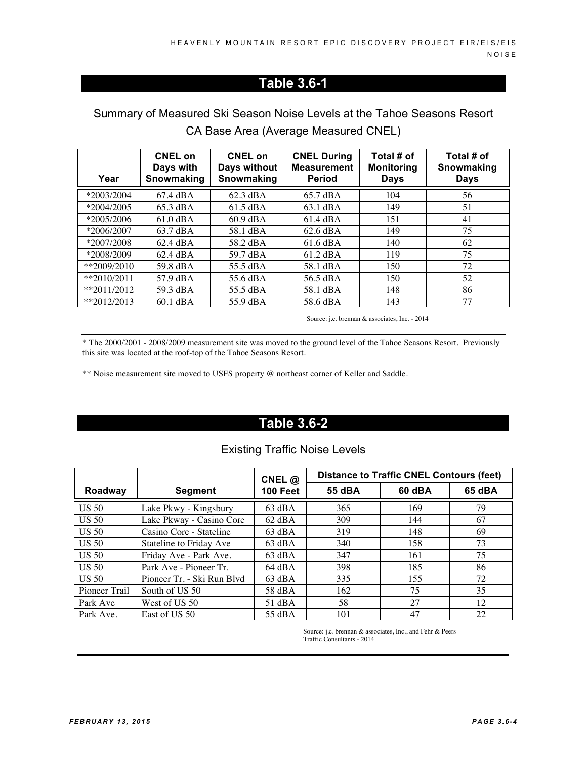# **Table 3.6-1**

# Summary of Measured Ski Season Noise Levels at the Tahoe Seasons Resort CA Base Area (Average Measured CNEL)

| Year         | CNEL on<br>Days with<br>Snowmaking | <b>CNEL on</b><br>Days without<br>Snowmaking | <b>CNEL During</b><br><b>Measurement</b><br><b>Period</b> | Total # of<br><b>Monitoring</b><br>Days | Total # of<br>Snowmaking<br><b>Days</b> |
|--------------|------------------------------------|----------------------------------------------|-----------------------------------------------------------|-----------------------------------------|-----------------------------------------|
| $*2003/2004$ | 67.4 dBA                           | $62.3 \text{ dBA}$                           | 65.7 dBA                                                  | 104                                     | 56                                      |
| $*2004/2005$ | 65.3 dBA                           | $61.5 \text{ dBA}$                           | 63.1 dBA                                                  | 149                                     | 51                                      |
| $*2005/2006$ | $61.0 \text{ dBA}$                 | $60.9 \text{ dBA}$                           | 61.4 dBA                                                  | 151                                     | 41                                      |
| $*2006/2007$ | 63.7 dBA                           | 58.1 dBA                                     | $62.6 \text{ dBA}$                                        | 149                                     | 75                                      |
| $*2007/2008$ | $62.4 \text{ dBA}$                 | 58.2 dBA                                     | $61.6 \text{ dBA}$                                        | 140                                     | 62                                      |
| *2008/2009   | 62.4 dBA                           | 59.7 dBA                                     | $61.2 \text{ dBA}$                                        | 119                                     | 75                                      |
| $*2009/2010$ | 59.8 dBA                           | 55.5 dBA                                     | 58.1 dBA                                                  | 150                                     | 72                                      |
| $*2010/2011$ | 57.9 dBA                           | 55.6 dBA                                     | 56.5 dBA                                                  | 150                                     | 52                                      |
| $*2011/2012$ | 59.3 dBA                           | 55.5 dBA                                     | 58.1 dBA                                                  | 148                                     | 86                                      |
| $*2012/2013$ | $60.1$ dBA                         | 55.9 dBA                                     | 58.6 dBA                                                  | 143                                     | 77                                      |

Source: j.c. brennan & associates, Inc. - 2014

\* The 2000/2001 - 2008/2009 measurement site was moved to the ground level of the Tahoe Seasons Resort. Previously this site was located at the roof-top of the Tahoe Seasons Resort.

\*\* Noise measurement site moved to USFS property @ northeast corner of Keller and Saddle.

# **Table 3.6-2**

# Existing Traffic Noise Levels

|               |                            | CNEL $@$          | <b>Distance to Traffic CNEL Contours (feet)</b> |        |        |  |
|---------------|----------------------------|-------------------|-------------------------------------------------|--------|--------|--|
| Roadway       | <b>Segment</b>             | <b>100 Feet</b>   | 55 dBA                                          | 60 dBA | 65 dBA |  |
| <b>US 50</b>  | Lake Pkwy - Kingsbury      | $63 \text{ dBA}$  | 365                                             | 169    | 79     |  |
| <b>US 50</b>  | Lake Pkway - Casino Core   | $62 \text{ dBA}$  | 309                                             | 144    | 67     |  |
| <b>US 50</b>  | Casino Core - Stateline    | $63 \text{ dBA}$  | 319                                             | 148    | 69     |  |
| <b>US 50</b>  | Stateline to Friday Ave    | $63$ dBA          | 340                                             | 158    | 73     |  |
| <b>US 50</b>  | Friday Ave - Park Ave.     | $63 \text{ dBA}$  | 347                                             | 161    | 75     |  |
| <b>US 50</b>  | Park Ave - Pioneer Tr.     | $64 \text{ dB}$ A | 398                                             | 185    | 86     |  |
| <b>US 50</b>  | Pioneer Tr. - Ski Run Blyd | $63 \text{ dBA}$  | 335                                             | 155    | 72     |  |
| Pioneer Trail | South of US 50             | 58 dBA            | 162                                             | 75     | 35     |  |
| Park Ave      | West of US 50              | 51 dBA            | 58                                              | 27     | 12     |  |
| Park Ave.     | East of US 50              | 55 dBA            | 101                                             | 47     | 22     |  |

Source: j.c. brennan & associates, Inc., and Fehr & Peers Traffic Consultants - 2014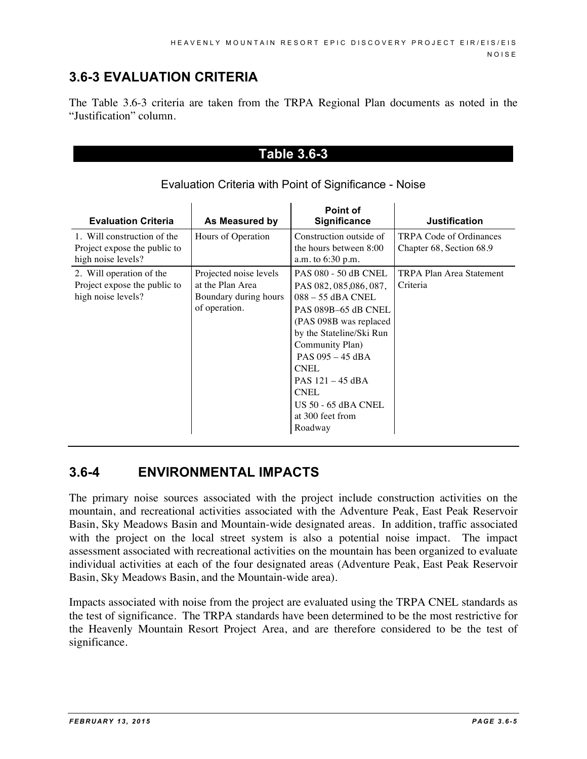# **3.6-3 EVALUATION CRITERIA**

The Table 3.6-3 criteria are taken from the TRPA Regional Plan documents as noted in the "Justification" column.

# **Table 3.6-3**

| <b>Evaluation Criteria</b>                                                        | As Measured by                                                                       | Point of<br><b>Significance</b>                                                                                                                                                                                                                                                                                      | <b>Justification</b>                                       |
|-----------------------------------------------------------------------------------|--------------------------------------------------------------------------------------|----------------------------------------------------------------------------------------------------------------------------------------------------------------------------------------------------------------------------------------------------------------------------------------------------------------------|------------------------------------------------------------|
| 1. Will construction of the<br>Project expose the public to<br>high noise levels? | Hours of Operation                                                                   | Construction outside of<br>the hours between 8:00<br>a.m. to 6:30 p.m.                                                                                                                                                                                                                                               | <b>TRPA Code of Ordinances</b><br>Chapter 68, Section 68.9 |
| 2. Will operation of the<br>Project expose the public to<br>high noise levels?    | Projected noise levels<br>at the Plan Area<br>Boundary during hours<br>of operation. | <b>PAS 080 - 50 dB CNEL</b><br>PAS 082, 085, 086, 087,<br>$088 - 55$ dBA CNEL<br>PAS 089B-65 dB CNEL<br>(PAS 098B was replaced<br>by the Stateline/Ski Run<br>Community Plan)<br>PAS $095 - 45$ dBA<br><b>CNEL</b><br>PAS $121 - 45$ dBA<br><b>CNEL</b><br><b>US 50 - 65 dBA CNEL</b><br>at 300 feet from<br>Roadway | TRPA Plan Area Statement<br>Criteria                       |

#### Evaluation Criteria with Point of Significance - Noise

# **3.6-4 ENVIRONMENTAL IMPACTS**

The primary noise sources associated with the project include construction activities on the mountain, and recreational activities associated with the Adventure Peak, East Peak Reservoir Basin, Sky Meadows Basin and Mountain-wide designated areas. In addition, traffic associated with the project on the local street system is also a potential noise impact. The impact assessment associated with recreational activities on the mountain has been organized to evaluate individual activities at each of the four designated areas (Adventure Peak, East Peak Reservoir Basin, Sky Meadows Basin, and the Mountain-wide area).

Impacts associated with noise from the project are evaluated using the TRPA CNEL standards as the test of significance. The TRPA standards have been determined to be the most restrictive for the Heavenly Mountain Resort Project Area, and are therefore considered to be the test of significance.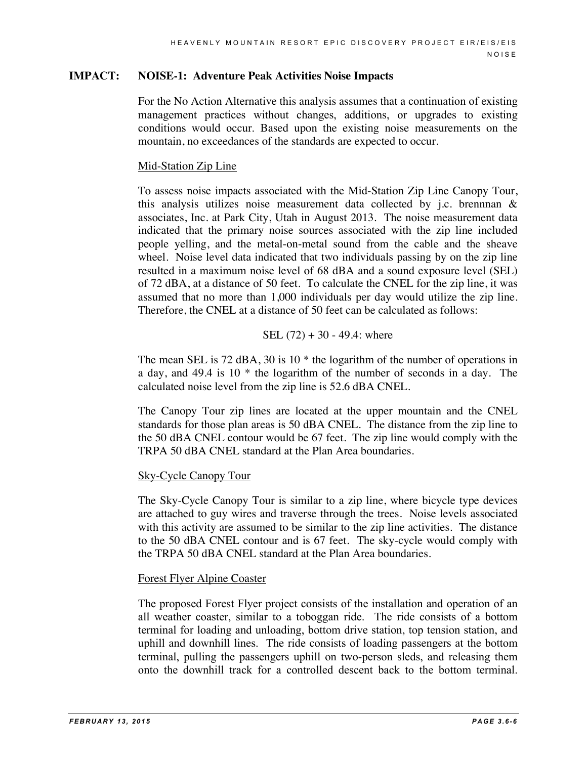#### **IMPACT: NOISE-1: Adventure Peak Activities Noise Impacts**

For the No Action Alternative this analysis assumes that a continuation of existing management practices without changes, additions, or upgrades to existing conditions would occur. Based upon the existing noise measurements on the mountain, no exceedances of the standards are expected to occur.

#### Mid-Station Zip Line

To assess noise impacts associated with the Mid-Station Zip Line Canopy Tour, this analysis utilizes noise measurement data collected by j.c. brennnan  $\&$ associates, Inc. at Park City, Utah in August 2013. The noise measurement data indicated that the primary noise sources associated with the zip line included people yelling, and the metal-on-metal sound from the cable and the sheave wheel. Noise level data indicated that two individuals passing by on the zip line resulted in a maximum noise level of 68 dBA and a sound exposure level (SEL) of 72 dBA, at a distance of 50 feet. To calculate the CNEL for the zip line, it was assumed that no more than 1,000 individuals per day would utilize the zip line. Therefore, the CNEL at a distance of 50 feet can be calculated as follows:

#### SEL (72) + 30 - 49.4: where

The mean SEL is 72 dBA, 30 is 10<sup>\*</sup> the logarithm of the number of operations in a day, and 49.4 is 10 \* the logarithm of the number of seconds in a day. The calculated noise level from the zip line is 52.6 dBA CNEL.

The Canopy Tour zip lines are located at the upper mountain and the CNEL standards for those plan areas is 50 dBA CNEL. The distance from the zip line to the 50 dBA CNEL contour would be 67 feet. The zip line would comply with the TRPA 50 dBA CNEL standard at the Plan Area boundaries.

#### Sky-Cycle Canopy Tour

The Sky-Cycle Canopy Tour is similar to a zip line, where bicycle type devices are attached to guy wires and traverse through the trees. Noise levels associated with this activity are assumed to be similar to the zip line activities. The distance to the 50 dBA CNEL contour and is 67 feet. The sky-cycle would comply with the TRPA 50 dBA CNEL standard at the Plan Area boundaries.

#### Forest Flyer Alpine Coaster

The proposed Forest Flyer project consists of the installation and operation of an all weather coaster, similar to a toboggan ride. The ride consists of a bottom terminal for loading and unloading, bottom drive station, top tension station, and uphill and downhill lines. The ride consists of loading passengers at the bottom terminal, pulling the passengers uphill on two-person sleds, and releasing them onto the downhill track for a controlled descent back to the bottom terminal.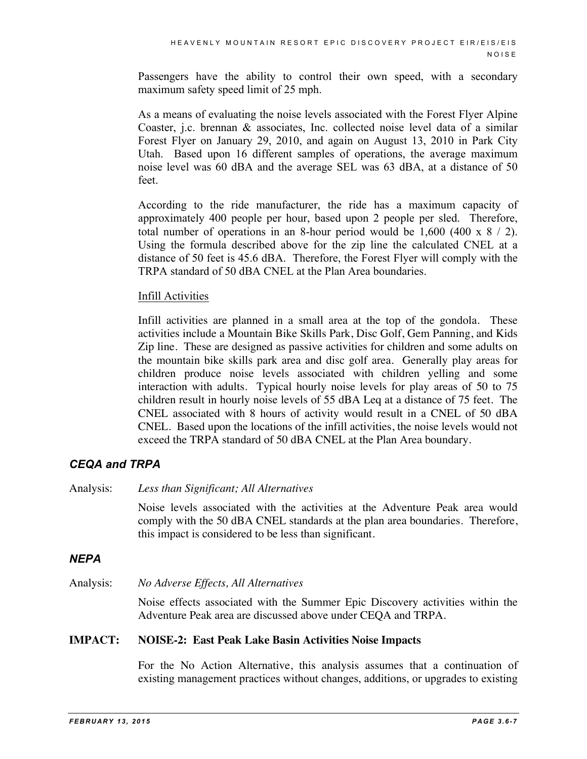Passengers have the ability to control their own speed, with a secondary maximum safety speed limit of 25 mph.

As a means of evaluating the noise levels associated with the Forest Flyer Alpine Coaster, j.c. brennan & associates, Inc. collected noise level data of a similar Forest Flyer on January 29, 2010, and again on August 13, 2010 in Park City Utah. Based upon 16 different samples of operations, the average maximum noise level was 60 dBA and the average SEL was 63 dBA, at a distance of 50 feet.

According to the ride manufacturer, the ride has a maximum capacity of approximately 400 people per hour, based upon 2 people per sled. Therefore, total number of operations in an 8-hour period would be 1,600 (400 x 8 / 2). Using the formula described above for the zip line the calculated CNEL at a distance of 50 feet is 45.6 dBA. Therefore, the Forest Flyer will comply with the TRPA standard of 50 dBA CNEL at the Plan Area boundaries.

#### Infill Activities

Infill activities are planned in a small area at the top of the gondola. These activities include a Mountain Bike Skills Park, Disc Golf, Gem Panning, and Kids Zip line. These are designed as passive activities for children and some adults on the mountain bike skills park area and disc golf area. Generally play areas for children produce noise levels associated with children yelling and some interaction with adults. Typical hourly noise levels for play areas of 50 to 75 children result in hourly noise levels of 55 dBA Leq at a distance of 75 feet. The CNEL associated with 8 hours of activity would result in a CNEL of 50 dBA CNEL. Based upon the locations of the infill activities, the noise levels would not exceed the TRPA standard of 50 dBA CNEL at the Plan Area boundary.

### *CEQA and TRPA*

Analysis: *Less than Significant; All Alternatives*

Noise levels associated with the activities at the Adventure Peak area would comply with the 50 dBA CNEL standards at the plan area boundaries. Therefore, this impact is considered to be less than significant.

### *NEPA*

Analysis: *No Adverse Effects, All Alternatives*

Noise effects associated with the Summer Epic Discovery activities within the Adventure Peak area are discussed above under CEQA and TRPA.

#### **IMPACT: NOISE-2: East Peak Lake Basin Activities Noise Impacts**

For the No Action Alternative, this analysis assumes that a continuation of existing management practices without changes, additions, or upgrades to existing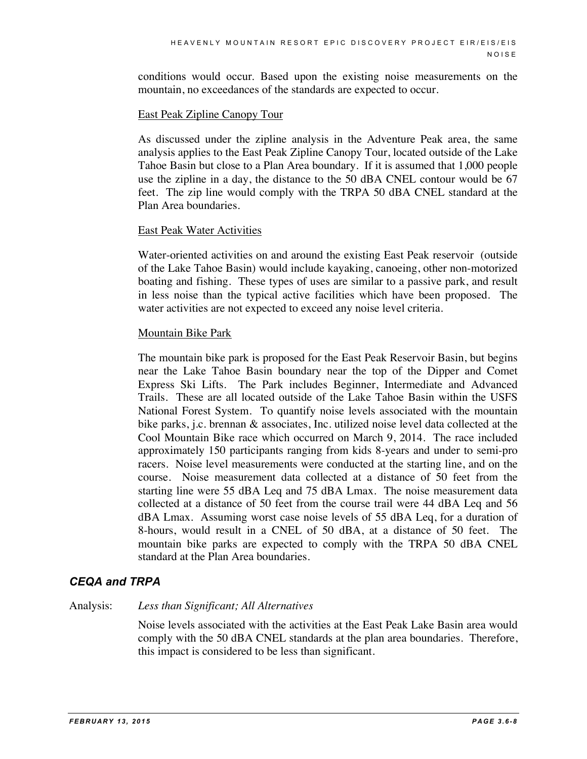conditions would occur. Based upon the existing noise measurements on the mountain, no exceedances of the standards are expected to occur.

#### East Peak Zipline Canopy Tour

As discussed under the zipline analysis in the Adventure Peak area, the same analysis applies to the East Peak Zipline Canopy Tour, located outside of the Lake Tahoe Basin but close to a Plan Area boundary. If it is assumed that 1,000 people use the zipline in a day, the distance to the 50 dBA CNEL contour would be 67 feet. The zip line would comply with the TRPA 50 dBA CNEL standard at the Plan Area boundaries.

#### East Peak Water Activities

Water-oriented activities on and around the existing East Peak reservoir (outside of the Lake Tahoe Basin) would include kayaking, canoeing, other non-motorized boating and fishing. These types of uses are similar to a passive park, and result in less noise than the typical active facilities which have been proposed. The water activities are not expected to exceed any noise level criteria.

#### Mountain Bike Park

The mountain bike park is proposed for the East Peak Reservoir Basin, but begins near the Lake Tahoe Basin boundary near the top of the Dipper and Comet Express Ski Lifts. The Park includes Beginner, Intermediate and Advanced Trails. These are all located outside of the Lake Tahoe Basin within the USFS National Forest System. To quantify noise levels associated with the mountain bike parks, j.c. brennan & associates, Inc. utilized noise level data collected at the Cool Mountain Bike race which occurred on March 9, 2014. The race included approximately 150 participants ranging from kids 8-years and under to semi-pro racers. Noise level measurements were conducted at the starting line, and on the course. Noise measurement data collected at a distance of 50 feet from the starting line were 55 dBA Leq and 75 dBA Lmax. The noise measurement data collected at a distance of 50 feet from the course trail were 44 dBA Leq and 56 dBA Lmax. Assuming worst case noise levels of 55 dBA Leq, for a duration of 8-hours, would result in a CNEL of 50 dBA, at a distance of 50 feet. The mountain bike parks are expected to comply with the TRPA 50 dBA CNEL standard at the Plan Area boundaries.

### *CEQA and TRPA*

#### Analysis: *Less than Significant; All Alternatives*

Noise levels associated with the activities at the East Peak Lake Basin area would comply with the 50 dBA CNEL standards at the plan area boundaries. Therefore, this impact is considered to be less than significant.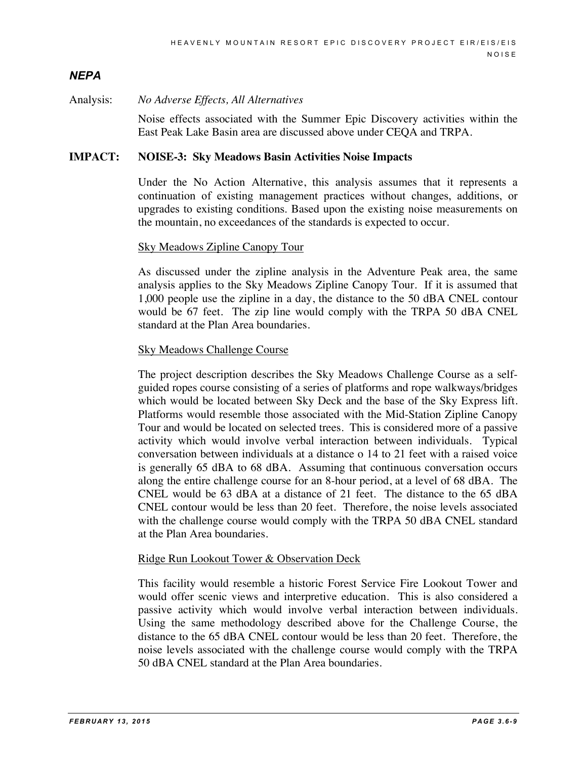# *NEPA*

#### Analysis: *No Adverse Effects, All Alternatives*

Noise effects associated with the Summer Epic Discovery activities within the East Peak Lake Basin area are discussed above under CEQA and TRPA.

#### **IMPACT: NOISE-3: Sky Meadows Basin Activities Noise Impacts**

Under the No Action Alternative, this analysis assumes that it represents a continuation of existing management practices without changes, additions, or upgrades to existing conditions. Based upon the existing noise measurements on the mountain, no exceedances of the standards is expected to occur.

#### Sky Meadows Zipline Canopy Tour

As discussed under the zipline analysis in the Adventure Peak area, the same analysis applies to the Sky Meadows Zipline Canopy Tour. If it is assumed that 1,000 people use the zipline in a day, the distance to the 50 dBA CNEL contour would be 67 feet. The zip line would comply with the TRPA 50 dBA CNEL standard at the Plan Area boundaries.

#### Sky Meadows Challenge Course

The project description describes the Sky Meadows Challenge Course as a selfguided ropes course consisting of a series of platforms and rope walkways/bridges which would be located between Sky Deck and the base of the Sky Express lift. Platforms would resemble those associated with the Mid-Station Zipline Canopy Tour and would be located on selected trees. This is considered more of a passive activity which would involve verbal interaction between individuals. Typical conversation between individuals at a distance o 14 to 21 feet with a raised voice is generally 65 dBA to 68 dBA. Assuming that continuous conversation occurs along the entire challenge course for an 8-hour period, at a level of 68 dBA. The CNEL would be 63 dBA at a distance of 21 feet. The distance to the 65 dBA CNEL contour would be less than 20 feet. Therefore, the noise levels associated with the challenge course would comply with the TRPA 50 dBA CNEL standard at the Plan Area boundaries.

#### Ridge Run Lookout Tower & Observation Deck

This facility would resemble a historic Forest Service Fire Lookout Tower and would offer scenic views and interpretive education. This is also considered a passive activity which would involve verbal interaction between individuals. Using the same methodology described above for the Challenge Course, the distance to the 65 dBA CNEL contour would be less than 20 feet. Therefore, the noise levels associated with the challenge course would comply with the TRPA 50 dBA CNEL standard at the Plan Area boundaries.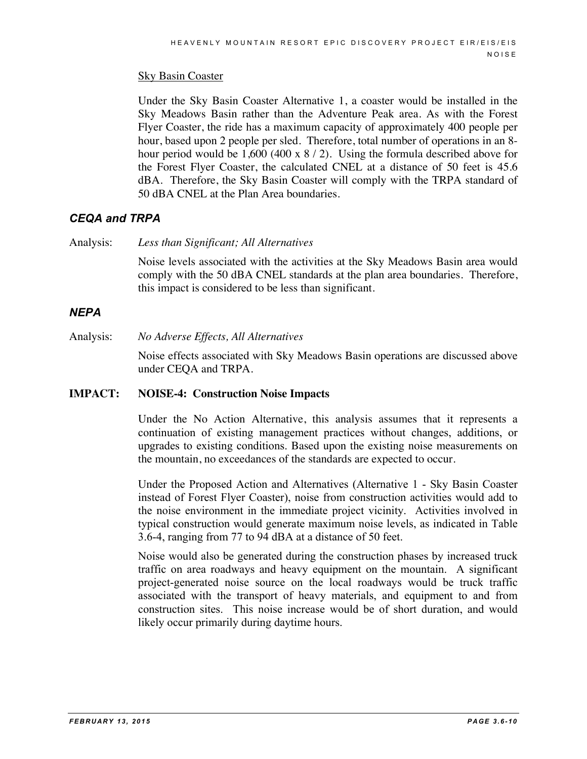### Sky Basin Coaster

Under the Sky Basin Coaster Alternative 1, a coaster would be installed in the Sky Meadows Basin rather than the Adventure Peak area. As with the Forest Flyer Coaster, the ride has a maximum capacity of approximately 400 people per hour, based upon 2 people per sled. Therefore, total number of operations in an 8 hour period would be 1,600 (400 x 8 / 2). Using the formula described above for the Forest Flyer Coaster, the calculated CNEL at a distance of 50 feet is 45.6 dBA. Therefore, the Sky Basin Coaster will comply with the TRPA standard of 50 dBA CNEL at the Plan Area boundaries.

# *CEQA and TRPA*

Analysis: *Less than Significant; All Alternatives*

Noise levels associated with the activities at the Sky Meadows Basin area would comply with the 50 dBA CNEL standards at the plan area boundaries. Therefore, this impact is considered to be less than significant.

# *NEPA*

Analysis: *No Adverse Effects, All Alternatives*

Noise effects associated with Sky Meadows Basin operations are discussed above under CEQA and TRPA.

#### **IMPACT: NOISE-4: Construction Noise Impacts**

Under the No Action Alternative, this analysis assumes that it represents a continuation of existing management practices without changes, additions, or upgrades to existing conditions. Based upon the existing noise measurements on the mountain, no exceedances of the standards are expected to occur.

Under the Proposed Action and Alternatives (Alternative 1 - Sky Basin Coaster instead of Forest Flyer Coaster), noise from construction activities would add to the noise environment in the immediate project vicinity. Activities involved in typical construction would generate maximum noise levels, as indicated in Table 3.6-4, ranging from 77 to 94 dBA at a distance of 50 feet.

Noise would also be generated during the construction phases by increased truck traffic on area roadways and heavy equipment on the mountain. A significant project-generated noise source on the local roadways would be truck traffic associated with the transport of heavy materials, and equipment to and from construction sites. This noise increase would be of short duration, and would likely occur primarily during daytime hours.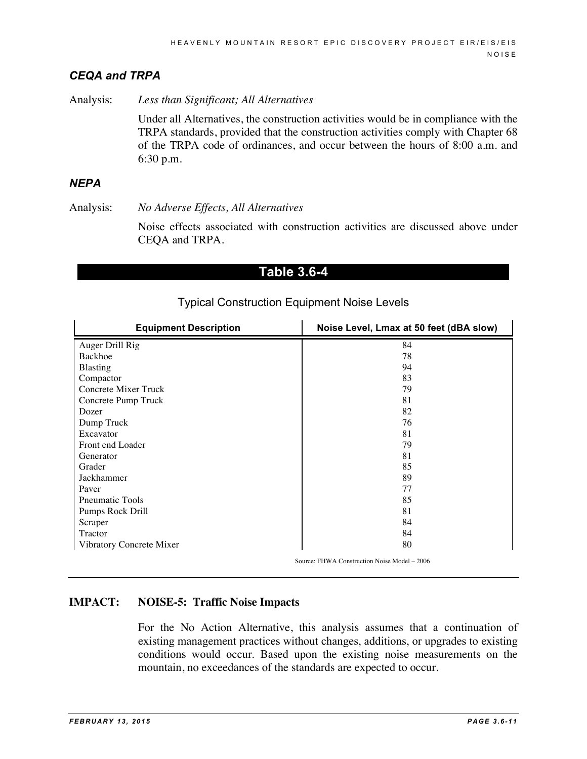### *CEQA and TRPA*

Analysis: *Less than Significant; All Alternatives*

Under all Alternatives, the construction activities would be in compliance with the TRPA standards, provided that the construction activities comply with Chapter 68 of the TRPA code of ordinances, and occur between the hours of 8:00 a.m. and 6:30 p.m.

#### *NEPA*

Analysis: *No Adverse Effects, All Alternatives*

Noise effects associated with construction activities are discussed above under CEQA and TRPA.

# **Table 3.6-4**

| <b>Equipment Description</b> | Noise Level, Lmax at 50 feet (dBA slow)      |
|------------------------------|----------------------------------------------|
| Auger Drill Rig              | 84                                           |
| <b>Backhoe</b>               | 78                                           |
| <b>Blasting</b>              | 94                                           |
| Compactor                    | 83                                           |
| Concrete Mixer Truck         | 79                                           |
| Concrete Pump Truck          | 81                                           |
| Dozer                        | 82                                           |
| Dump Truck                   | 76                                           |
| Excavator                    | 81                                           |
| Front end Loader             | 79                                           |
| Generator                    | 81                                           |
| Grader                       | 85                                           |
| Jackhammer                   | 89                                           |
| Paver                        | 77                                           |
| <b>Pneumatic Tools</b>       | 85                                           |
| Pumps Rock Drill             | 81                                           |
| Scraper                      | 84                                           |
| Tractor                      | 84                                           |
| Vibratory Concrete Mixer     | 80                                           |
|                              | Source: FHWA Construction Noise Model – 2006 |

### Typical Construction Equipment Noise Levels

### **IMPACT: NOISE-5: Traffic Noise Impacts**

For the No Action Alternative, this analysis assumes that a continuation of existing management practices without changes, additions, or upgrades to existing conditions would occur. Based upon the existing noise measurements on the mountain, no exceedances of the standards are expected to occur.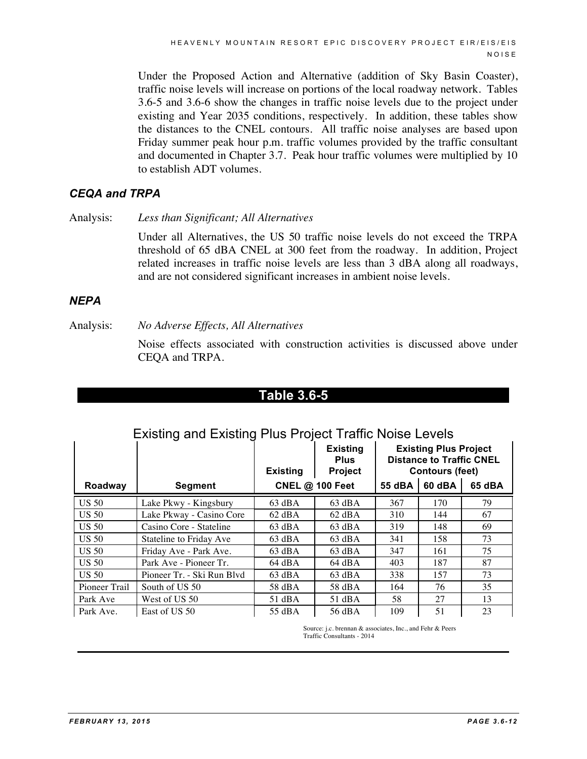Under the Proposed Action and Alternative (addition of Sky Basin Coaster), traffic noise levels will increase on portions of the local roadway network. Tables 3.6-5 and 3.6-6 show the changes in traffic noise levels due to the project under existing and Year 2035 conditions, respectively. In addition, these tables show the distances to the CNEL contours. All traffic noise analyses are based upon Friday summer peak hour p.m. traffic volumes provided by the traffic consultant and documented in Chapter 3.7. Peak hour traffic volumes were multiplied by 10 to establish ADT volumes.

### *CEQA and TRPA*

Analysis: *Less than Significant; All Alternatives*

Under all Alternatives, the US 50 traffic noise levels do not exceed the TRPA threshold of 65 dBA CNEL at 300 feet from the roadway. In addition, Project related increases in traffic noise levels are less than 3 dBA along all roadways, and are not considered significant increases in ambient noise levels.

### *NEPA*

Analysis: *No Adverse Effects, All Alternatives*

Noise effects associated with construction activities is discussed above under CEQA and TRPA.

| ı<br>रत : | I<br>œ | 3.<br>≁ | 6- | τ. |  |
|-----------|--------|---------|----|----|--|
|           |        |         |    |    |  |

# Existing and Existing Plus Project Traffic Noise Levels

|                  |                            | <b>Existing</b>        | <b>Existing</b><br><b>Plus</b><br>Project | <b>Existing Plus Project</b><br><b>Distance to Traffic CNEL</b><br><b>Contours (feet)</b> |        |        |
|------------------|----------------------------|------------------------|-------------------------------------------|-------------------------------------------------------------------------------------------|--------|--------|
| Roadway          | <b>Segment</b>             | <b>CNEL @ 100 Feet</b> |                                           | 55 dBA                                                                                    | 60 dBA | 65 dBA |
| <b>US 50</b>     | Lake Pkwy - Kingsbury      | $63 \text{ dBA}$       | $63$ dBA                                  | 367                                                                                       | 170    | 79     |
| <b>US 50</b>     | Lake Pkway - Casino Core   | $62$ dBA               | $62$ dBA                                  | 310                                                                                       | 144    | 67     |
| <b>US 50</b>     | Casino Core - Stateline    | $63$ dBA               | $63$ dBA                                  | 319                                                                                       | 148    | 69     |
| US <sub>50</sub> | Stateline to Friday Ave    | $63 \text{ dBA}$       | $63 \text{ dBA}$                          | 341                                                                                       | 158    | 73     |
| <b>US 50</b>     | Friday Ave - Park Ave.     | $63$ dBA               | $63$ dBA                                  | 347                                                                                       | 161    | 75     |
| <b>US 50</b>     | Park Ave - Pioneer Tr.     | $64$ dBA               | 64 dBA                                    | 403                                                                                       | 187    | 87     |
| <b>US 50</b>     | Pioneer Tr. - Ski Run Blyd | $63 \text{ dBA}$       | $63 \text{ dBA}$                          | 338                                                                                       | 157    | 73     |
| Pioneer Trail    | South of US 50             | 58 dBA                 | 58 dBA                                    | 164                                                                                       | 76     | 35     |
| Park Ave         | West of US 50              | $51$ dBA               | $51$ dBA                                  | 58                                                                                        | 27     | 13     |
| Park Ave.        | East of US 50              | 55 dBA                 | 56 dBA                                    | 109                                                                                       | 51     | 23     |

Source: *i.c.* brennan & associates, Inc., and Fehr & Peers Traffic Consultants - 2014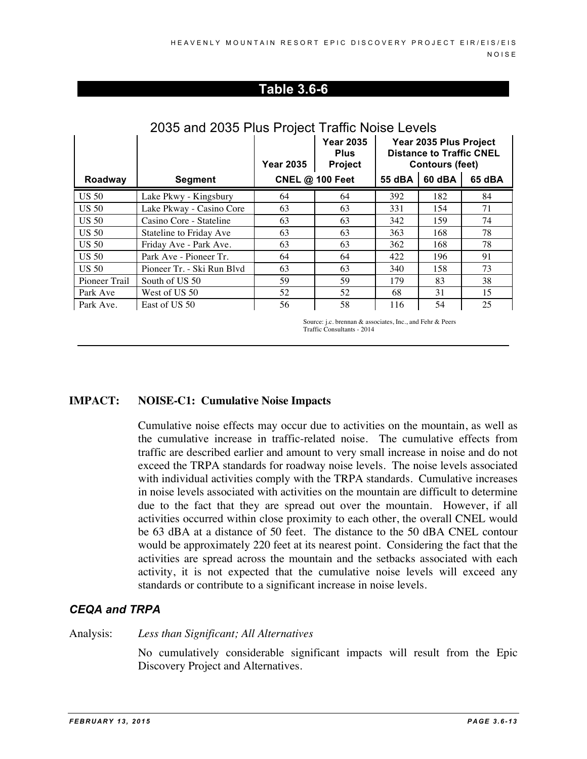# **Table 3.6-6**

|               |                            | <b>Year 2035</b> | <b>Year 2035</b><br><b>Plus</b><br><b>Project</b> | Year 2035 Plus Project<br><b>Distance to Traffic CNEL</b><br><b>Contours (feet)</b> |        |        |
|---------------|----------------------------|------------------|---------------------------------------------------|-------------------------------------------------------------------------------------|--------|--------|
| Roadway       | <b>Segment</b>             |                  | <b>CNEL @ 100 Feet</b>                            | 55 dBA                                                                              | 60 dBA | 65 dBA |
| <b>US 50</b>  | Lake Pkwy - Kingsbury      | 64               | 64                                                | 392                                                                                 | 182    | 84     |
| <b>US 50</b>  | Lake Pkway - Casino Core   | 63               | 63                                                | 331                                                                                 | 154    | 71     |
| <b>US 50</b>  | Casino Core - Stateline    | 63               | 63                                                | 342                                                                                 | 159    | 74     |
| <b>US 50</b>  | Stateline to Friday Ave    | 63               | 63                                                | 363                                                                                 | 168    | 78     |
| <b>US 50</b>  | Friday Ave - Park Ave.     | 63               | 63                                                | 362                                                                                 | 168    | 78     |
| <b>US 50</b>  | Park Ave - Pioneer Tr.     | 64               | 64                                                | 422                                                                                 | 196    | 91     |
| <b>US 50</b>  | Pioneer Tr. - Ski Run Blvd | 63               | 63                                                | 340                                                                                 | 158    | 73     |
| Pioneer Trail | South of US 50             | 59               | 59                                                | 179                                                                                 | 83     | 38     |
| Park Ave      | West of US 50              | 52               | 52                                                | 68                                                                                  | 31     | 15     |
| Park Ave.     | East of US 50              | 56               | 58                                                | 116                                                                                 | 54     | 25     |

# 2035 and 2035 Plus Project Traffic Noise Levels

Source: j.c. brennan & associates, Inc., and Fehr & Peers Traffic Consultants - 2014

#### **IMPACT: NOISE-C1: Cumulative Noise Impacts**

Cumulative noise effects may occur due to activities on the mountain, as well as the cumulative increase in traffic-related noise. The cumulative effects from traffic are described earlier and amount to very small increase in noise and do not exceed the TRPA standards for roadway noise levels. The noise levels associated with individual activities comply with the TRPA standards. Cumulative increases in noise levels associated with activities on the mountain are difficult to determine due to the fact that they are spread out over the mountain. However, if all activities occurred within close proximity to each other, the overall CNEL would be 63 dBA at a distance of 50 feet. The distance to the 50 dBA CNEL contour would be approximately 220 feet at its nearest point. Considering the fact that the activities are spread across the mountain and the setbacks associated with each activity, it is not expected that the cumulative noise levels will exceed any standards or contribute to a significant increase in noise levels.

### *CEQA and TRPA*

Analysis: *Less than Significant; All Alternatives*

No cumulatively considerable significant impacts will result from the Epic Discovery Project and Alternatives.